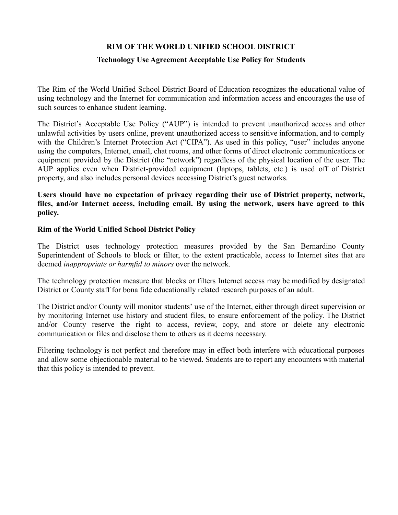# **RIM OF THE WORLD UNIFIED SCHOOL DISTRICT**

# **Technology Use Agreement Acceptable Use Policy for Students**

The Rim of the World Unified School District Board of Education recognizes the educational value of using technology and the Internet for communication and information access and encourages the use of such sources to enhance student learning.

The District's Acceptable Use Policy ("AUP") is intended to prevent unauthorized access and other unlawful activities by users online, prevent unauthorized access to sensitive information, and to comply with the Children's Internet Protection Act ("CIPA"). As used in this policy, "user" includes anyone using the computers, Internet, email, chat rooms, and other forms of direct electronic communications or equipment provided by the District (the "network") regardless of the physical location of the user. The AUP applies even when District-provided equipment (laptops, tablets, etc.) is used off of District property, and also includes personal devices accessing District's guest networks.

### **Users should have no expectation of privacy regarding their use of District property, network, files, and/or Internet access, including email. By using the network, users have agreed to this policy.**

### **Rim of the World Unified School District Policy**

The District uses technology protection measures provided by the San Bernardino County Superintendent of Schools to block or filter, to the extent practicable, access to Internet sites that are deemed *inappropriate or harmful to minors* over the network.

The technology protection measure that blocks or filters Internet access may be modified by designated District or County staff for bona fide educationally related research purposes of an adult.

The District and/or County will monitor students' use of the Internet, either through direct supervision or by monitoring Internet use history and student files, to ensure enforcement of the policy. The District and/or County reserve the right to access, review, copy, and store or delete any electronic communication or files and disclose them to others as it deems necessary.

Filtering technology is not perfect and therefore may in effect both interfere with educational purposes and allow some objectionable material to be viewed. Students are to report any encounters with material that this policy is intended to prevent.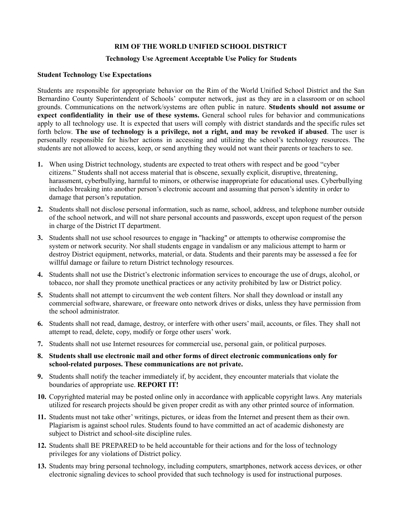#### **RIM OF THE WORLD UNIFIED SCHOOL DISTRICT**

#### **Technology Use Agreement Acceptable Use Policy for Students**

#### **Student Technology Use Expectations**

Students are responsible for appropriate behavior on the Rim of the World Unified School District and the San Bernardino County Superintendent of Schools' computer network, just as they are in a classroom or on school grounds. Communications on the network/systems are often public in nature. **Students should not assume or expect confidentiality in their use of these systems.** General school rules for behavior and communications apply to all technology use. It is expected that users will comply with district standards and the specific rules set forth below. **The use of technology is a privilege, not a right, and may be revoked if abused**. The user is personally responsible for his/her actions in accessing and utilizing the school's technology resources. The students are not allowed to access, keep, or send anything they would not want their parents or teachers to see.

- **1.** When using District technology, students are expected to treat others with respect and be good "cyber citizens." Students shall not access material that is obscene, sexually explicit, disruptive, threatening, harassment, cyberbullying, harmful to minors, or otherwise inappropriate for educational uses. Cyberbullying includes breaking into another person's electronic account and assuming that person's identity in order to damage that person's reputation.
- **2.** Students shall not disclose personal information, such as name, school, address, and telephone number outside of the school network, and will not share personal accounts and passwords, except upon request of the person in charge of the District IT department.
- **3.** Students shall not use school resources to engage in "hacking" or attempts to otherwise compromise the system or network security. Nor shall students engage in vandalism or any malicious attempt to harm or destroy District equipment, networks, material, or data. Students and their parents may be assessed a fee for willful damage or failure to return District technology resources.
- **4.** Students shall not use the District's electronic information services to encourage the use of drugs, alcohol, or tobacco, nor shall they promote unethical practices or any activity prohibited by law or District policy.
- **5.** Students shall not attempt to circumvent the web content filters. Nor shall they download or install any commercial software, shareware, or freeware onto network drives or disks, unless they have permission from the school administrator.
- **6.** Students shall not read, damage, destroy, or interfere with other users' mail, accounts, or files. They shall not attempt to read, delete, copy, modify or forge other users' work.
- **7.** Students shall not use Internet resources for commercial use, personal gain, or political purposes.
- **8. Students shall use electronic mail and other forms of direct electronic communications only for school-related purposes. These communications are not private.**
- **9.** Students shall notify the teacher immediately if, by accident, they encounter materials that violate the boundaries of appropriate use. **REPORT IT!**
- **10.** Copyrighted material may be posted online only in accordance with applicable copyright laws. Any materials utilized for research projects should be given proper credit as with any other printed source of information.
- **11.** Students must not take other' writings, pictures, or ideas from the Internet and present them as their own. Plagiarism is against school rules. Students found to have committed an act of academic dishonesty are subject to District and school-site discipline rules.
- **12.** Students shall BE PREPARED to be held accountable for their actions and for the loss of technology privileges for any violations of District policy.
- **13.** Students may bring personal technology, including computers, smartphones, network access devices, or other electronic signaling devices to school provided that such technology is used for instructional purposes.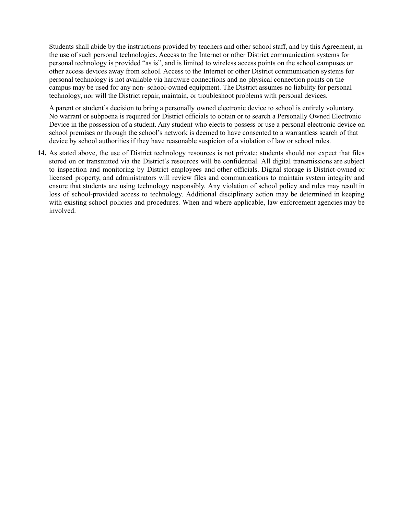Students shall abide by the instructions provided by teachers and other school staff, and by this Agreement, in the use of such personal technologies. Access to the Internet or other District communication systems for personal technology is provided "as is", and is limited to wireless access points on the school campuses or other access devices away from school. Access to the Internet or other District communication systems for personal technology is not available via hardwire connections and no physical connection points on the campus may be used for any non- school-owned equipment. The District assumes no liability for personal technology, nor will the District repair, maintain, or troubleshoot problems with personal devices.

A parent or student's decision to bring a personally owned electronic device to school is entirely voluntary. No warrant or subpoena is required for District officials to obtain or to search a Personally Owned Electronic Device in the possession of a student. Any student who elects to possess or use a personal electronic device on school premises or through the school's network is deemed to have consented to a warrantless search of that device by school authorities if they have reasonable suspicion of a violation of law or school rules.

**14.** As stated above, the use of District technology resources is not private; students should not expect that files stored on or transmitted via the District's resources will be confidential. All digital transmissions are subject to inspection and monitoring by District employees and other officials. Digital storage is District-owned or licensed property, and administrators will review files and communications to maintain system integrity and ensure that students are using technology responsibly. Any violation of school policy and rules may result in loss of school-provided access to technology. Additional disciplinary action may be determined in keeping with existing school policies and procedures. When and where applicable, law enforcement agencies may be involved.